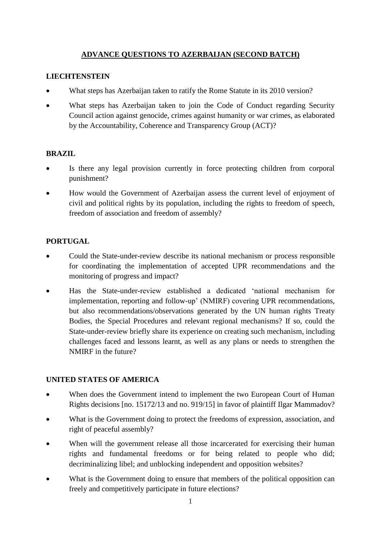## **ADVANCE QUESTIONS TO AZERBAIJAN (SECOND BATCH)**

### **LIECHTENSTEIN**

- What steps has Azerbaijan taken to ratify the Rome Statute in its 2010 version?
- What steps has Azerbaijan taken to join the Code of Conduct regarding Security Council action against genocide, crimes against humanity or war crimes, as elaborated by the Accountability, Coherence and Transparency Group (ACT)?

### **BRAZIL**

- Is there any legal provision currently in force protecting children from corporal punishment?
- How would the Government of Azerbaijan assess the current level of enjoyment of civil and political rights by its population, including the rights to freedom of speech, freedom of association and freedom of assembly?

## **PORTUGAL**

- Could the State-under-review describe its national mechanism or process responsible for coordinating the implementation of accepted UPR recommendations and the monitoring of progress and impact?
- Has the State-under-review established a dedicated 'national mechanism for implementation, reporting and follow-up' (NMIRF) covering UPR recommendations, but also recommendations/observations generated by the UN human rights Treaty Bodies, the Special Procedures and relevant regional mechanisms? If so, could the State-under-review briefly share its experience on creating such mechanism, including challenges faced and lessons learnt, as well as any plans or needs to strengthen the NMIRF in the future?

### **UNITED STATES OF AMERICA**

- When does the Government intend to implement the two European Court of Human Rights decisions [no. 15172/13 and no. 919/15] in favor of plaintiff Ilgar Mammadov?
- What is the Government doing to protect the freedoms of expression, association, and right of peaceful assembly?
- When will the government release all those incarcerated for exercising their human rights and fundamental freedoms or for being related to people who did; decriminalizing libel; and unblocking independent and opposition websites?
- What is the Government doing to ensure that members of the political opposition can freely and competitively participate in future elections?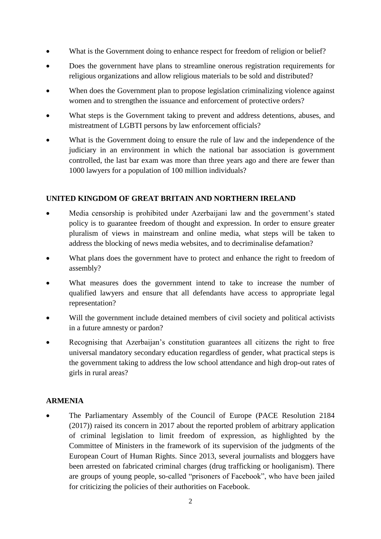- What is the Government doing to enhance respect for freedom of religion or belief?
- Does the government have plans to streamline onerous registration requirements for religious organizations and allow religious materials to be sold and distributed?
- When does the Government plan to propose legislation criminalizing violence against women and to strengthen the issuance and enforcement of protective orders?
- What steps is the Government taking to prevent and address detentions, abuses, and mistreatment of LGBTI persons by law enforcement officials?
- What is the Government doing to ensure the rule of law and the independence of the judiciary in an environment in which the national bar association is government controlled, the last bar exam was more than three years ago and there are fewer than 1000 lawyers for a population of 100 million individuals?

## **UNITED KINGDOM OF GREAT BRITAIN AND NORTHERN IRELAND**

- Media censorship is prohibited under Azerbaijani law and the government's stated policy is to guarantee freedom of thought and expression. In order to ensure greater pluralism of views in mainstream and online media, what steps will be taken to address the blocking of news media websites, and to decriminalise defamation?
- What plans does the government have to protect and enhance the right to freedom of assembly?
- What measures does the government intend to take to increase the number of qualified lawyers and ensure that all defendants have access to appropriate legal representation?
- Will the government include detained members of civil society and political activists in a future amnesty or pardon?
- Recognising that Azerbaijan's constitution guarantees all citizens the right to free universal mandatory secondary education regardless of gender, what practical steps is the government taking to address the low school attendance and high drop-out rates of girls in rural areas?

### **ARMENIA**

• The Parliamentary Assembly of the Council of Europe (PACE Resolution 2184 (2017)) raised its concern in 2017 about the reported problem of arbitrary application of criminal legislation to limit freedom of expression, as highlighted by the Committee of Ministers in the framework of its supervision of the judgments of the European Court of Human Rights. Since 2013, several journalists and bloggers have been arrested on fabricated criminal charges (drug trafficking or hooliganism). There are groups of young people, so-called "prisoners of Facebook", who have been jailed for criticizing the policies of their authorities on Facebook.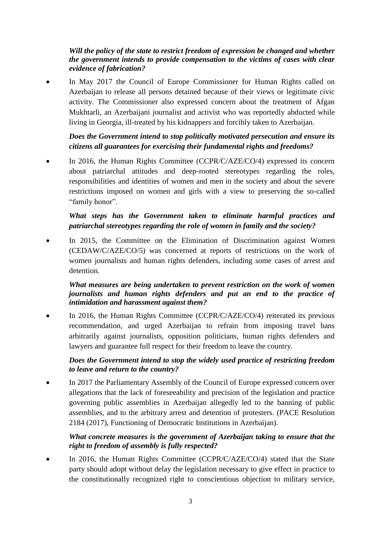## *Will the policy of the state to restrict freedom of expression be changed and whether the government intends to provide compensation to the victims of cases with clear evidence of fabrication?*

• In May 2017 the Council of Europe Commissioner for Human Rights called on Azerbaijan to release all persons detained because of their views or legitimate civic activity. The Commissioner also expressed concern about the treatment of Afgan Mukhtarli, an Azerbaijani journalist and activist who was reportedly abducted while living in Georgia, ill-treated by his kidnappers and forcibly taken to Azerbaijan.

## *Does the Government intend to stop politically motivated persecution and ensure its citizens all guarantees for exercising their fundamental rights and freedoms?*

In 2016, the Human Rights Committee (CCPR/C/AZE/CO/4) expressed its concern about patriarchal attitudes and deep-rooted stereotypes regarding the roles, responsibilities and identities of women and men in the society and about the severe restrictions imposed on women and girls with a view to preserving the so-called "family honor".

# *What steps has the Government taken to eliminate harmful practices and patriarchal stereotypes regarding the role of women in family and the society?*

In 2015, the Committee on the Elimination of Discrimination against Women (CEDAW/C/AZE/CO/5) was concerned at reports of restrictions on the work of women journalists and human rights defenders, including some cases of arrest and detention.

### *What measures are being undertaken to prevent restriction on the work of women journalists and human rights defenders and put an end to the practice of intimidation and harassment against them?*

In 2016, the Human Rights Committee (CCPR/C/AZE/CO/4) reiterated its previous recommendation, and urged Azerbaijan to refrain from imposing travel bans arbitrarily against journalists, opposition politicians, human rights defenders and lawyers and guarantee full respect for their freedom to leave the country.

## *Does the Government intend to stop the widely used practice of restricting freedom to leave and return to the country?*

• In 2017 the Parliamentary Assembly of the Council of Europe expressed concern over allegations that the lack of foreseeability and precision of the legislation and practice governing public assemblies in Azerbaijan allegedly led to the banning of public assemblies, and to the arbitrary arrest and detention of protesters. (PACE Resolution 2184 (2017), Functioning of Democratic Institutions in Azerbaijan).

## *What concrete measures is the government of Azerbaijan taking to ensure that the right to freedom of assembly is fully respected?*

In 2016, the Human Rights Committee (CCPR/C/AZE/CO/4) stated that the State party should adopt without delay the legislation necessary to give effect in practice to the constitutionally recognized right to conscientious objection to military service,